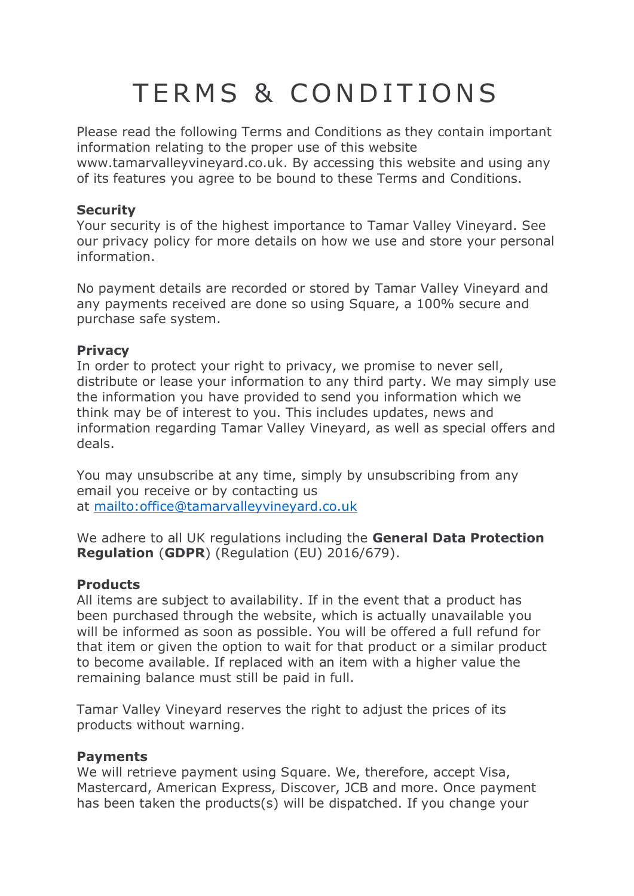# TERMS & CONDITIONS

Please read the following Terms and Conditions as they contain important information relating to the proper use of this website

www.tamarvalleyvineyard.co.uk. By accessing this website and using any of its features you agree to be bound to these Terms and Conditions.

# **Security**

Your security is of the highest importance to Tamar Valley Vineyard. See our privacy policy for more details on how we use and store your personal information.

No payment details are recorded or stored by Tamar Valley Vineyard and any payments received are done so using Square, a 100% secure and purchase safe system.

# **Privacy**

In order to protect your right to privacy, we promise to never sell, distribute or lease your information to any third party. We may simply use the information you have provided to send you information which we think may be of interest to you. This includes updates, news and information regarding Tamar Valley Vineyard, as well as special offers and deals.

You may unsubscribe at any time, simply by unsubscribing from any email you receive or by contacting us at <mailto:office@tamarvalleyvineyard.co.uk>

We adhere to all UK regulations including the **General Data Protection Regulation** (**GDPR**) (Regulation (EU) 2016/679).

# **Products**

All items are subject to availability. If in the event that a product has been purchased through the website, which is actually unavailable you will be informed as soon as possible. You will be offered a full refund for that item or given the option to wait for that product or a similar product to become available. If replaced with an item with a higher value the remaining balance must still be paid in full.

Tamar Valley Vineyard reserves the right to adjust the prices of its products without warning.

# **Payments**

We will retrieve payment using Square. We, therefore, accept Visa, Mastercard, American Express, Discover, JCB and more. Once payment has been taken the products(s) will be dispatched. If you change your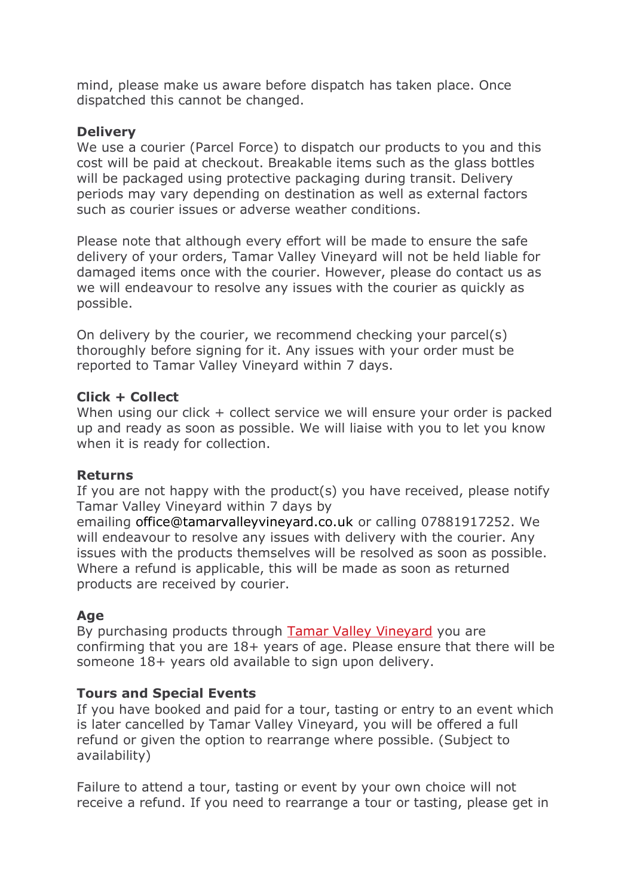mind, please make us aware before dispatch has taken place. Once dispatched this cannot be changed.

#### **Delivery**

We use a courier (Parcel Force) to dispatch our products to you and this cost will be paid at checkout. Breakable items such as the glass bottles will be packaged using protective packaging during transit. Delivery periods may vary depending on destination as well as external factors such as courier issues or adverse weather conditions.

Please note that although every effort will be made to ensure the safe delivery of your orders, Tamar Valley Vineyard will not be held liable for damaged items once with the courier. However, please do contact us as we will endeavour to resolve any issues with the courier as quickly as possible.

On delivery by the courier, we recommend checking your parcel(s) thoroughly before signing for it. Any issues with your order must be reported to Tamar Valley Vineyard within 7 days.

#### **Click + Collect**

When using our click + collect service we will ensure your order is packed up and ready as soon as possible. We will liaise with you to let you know when it is ready for collection.

# **Returns**

If you are not happy with the product(s) you have received, please notify Tamar Valley Vineyard within 7 days by

emailing office@tamarvalleyvineyard.co.uk or calling 07881917252. We will endeavour to resolve any issues with delivery with the courier. Any issues with the products themselves will be resolved as soon as possible. Where a refund is applicable, this will be made as soon as returned products are received by courier.

# **Age**

By purchasing products through [Tamar](http://www.tamarvalleyvineyard.co.uk/) Valley Vineyard you are confirming that you are 18+ years of age. Please ensure that there will be someone 18+ years old available to sign upon delivery.

# **Tours and Special Events**

If you have booked and paid for a tour, tasting or entry to an event which is later cancelled by Tamar Valley Vineyard, you will be offered a full refund or given the option to rearrange where possible. (Subject to availability)

Failure to attend a tour, tasting or event by your own choice will not receive a refund. If you need to rearrange a tour or tasting, please get in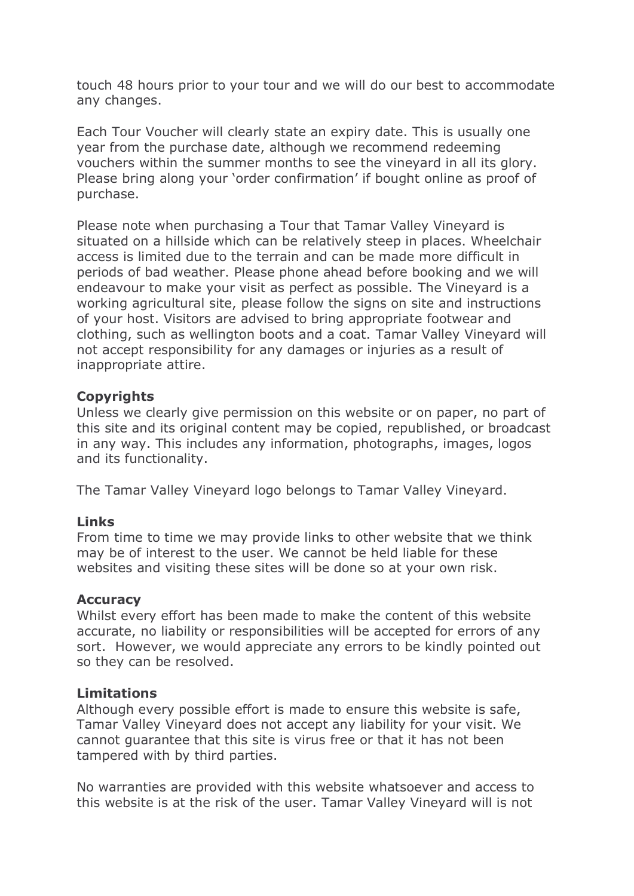touch 48 hours prior to your tour and we will do our best to accommodate any changes.

Each Tour Voucher will clearly state an expiry date. This is usually one year from the purchase date, although we recommend redeeming vouchers within the summer months to see the vineyard in all its glory. Please bring along your 'order confirmation' if bought online as proof of purchase.

Please note when purchasing a Tour that Tamar Valley Vineyard is situated on a hillside which can be relatively steep in places. Wheelchair access is limited due to the terrain and can be made more difficult in periods of bad weather. Please phone ahead before booking and we will endeavour to make your visit as perfect as possible. The Vineyard is a working agricultural site, please follow the signs on site and instructions of your host. Visitors are advised to bring appropriate footwear and clothing, such as wellington boots and a coat. Tamar Valley Vineyard will not accept responsibility for any damages or injuries as a result of inappropriate attire.

#### **Copyrights**

Unless we clearly give permission on this website or on paper, no part of this site and its original content may be copied, republished, or broadcast in any way. This includes any information, photographs, images, logos and its functionality.

The Tamar Valley Vineyard logo belongs to Tamar Valley Vineyard.

# **Links**

From time to time we may provide links to other website that we think may be of interest to the user. We cannot be held liable for these websites and visiting these sites will be done so at your own risk.

#### **Accuracy**

Whilst every effort has been made to make the content of this website accurate, no liability or responsibilities will be accepted for errors of any sort. However, we would appreciate any errors to be kindly pointed out so they can be resolved.

#### **Limitations**

Although every possible effort is made to ensure this website is safe, Tamar Valley Vineyard does not accept any liability for your visit. We cannot guarantee that this site is virus free or that it has not been tampered with by third parties.

No warranties are provided with this website whatsoever and access to this website is at the risk of the user. Tamar Valley Vineyard will is not